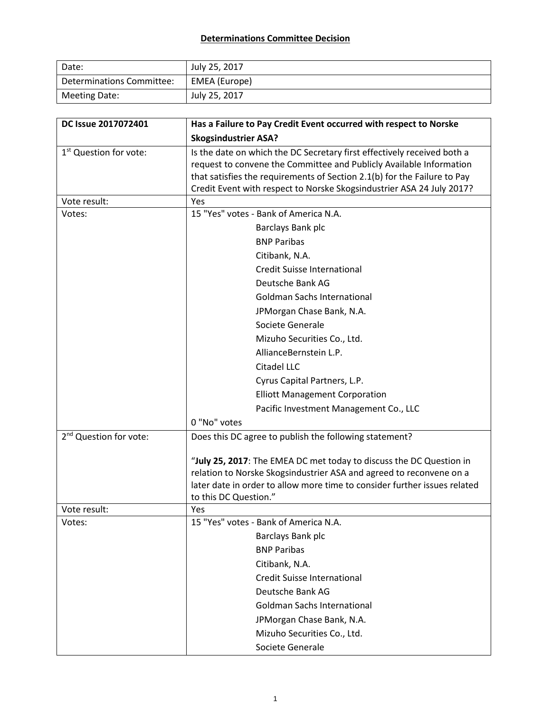## **Determinations Committee Decision**

| Date:                     | July 25, 2017 |
|---------------------------|---------------|
| Determinations Committee: | EMEA (Europe) |
| Meeting Date:             | July 25, 2017 |

| DC Issue 2017072401                | Has a Failure to Pay Credit Event occurred with respect to Norske                                                                                                                                                                                                                                   |  |  |
|------------------------------------|-----------------------------------------------------------------------------------------------------------------------------------------------------------------------------------------------------------------------------------------------------------------------------------------------------|--|--|
|                                    | <b>Skogsindustrier ASA?</b>                                                                                                                                                                                                                                                                         |  |  |
| 1 <sup>st</sup> Question for vote: | Is the date on which the DC Secretary first effectively received both a<br>request to convene the Committee and Publicly Available Information<br>that satisfies the requirements of Section 2.1(b) for the Failure to Pay<br>Credit Event with respect to Norske Skogsindustrier ASA 24 July 2017? |  |  |
| Vote result:                       | Yes                                                                                                                                                                                                                                                                                                 |  |  |
| Votes:                             | 15 "Yes" votes - Bank of America N.A.                                                                                                                                                                                                                                                               |  |  |
|                                    | Barclays Bank plc                                                                                                                                                                                                                                                                                   |  |  |
|                                    | <b>BNP Paribas</b>                                                                                                                                                                                                                                                                                  |  |  |
|                                    | Citibank, N.A.                                                                                                                                                                                                                                                                                      |  |  |
|                                    | <b>Credit Suisse International</b>                                                                                                                                                                                                                                                                  |  |  |
|                                    | Deutsche Bank AG                                                                                                                                                                                                                                                                                    |  |  |
|                                    | <b>Goldman Sachs International</b>                                                                                                                                                                                                                                                                  |  |  |
|                                    | JPMorgan Chase Bank, N.A.                                                                                                                                                                                                                                                                           |  |  |
|                                    | Societe Generale                                                                                                                                                                                                                                                                                    |  |  |
|                                    | Mizuho Securities Co., Ltd.                                                                                                                                                                                                                                                                         |  |  |
|                                    | AllianceBernstein L.P.                                                                                                                                                                                                                                                                              |  |  |
|                                    | Citadel LLC                                                                                                                                                                                                                                                                                         |  |  |
|                                    | Cyrus Capital Partners, L.P.                                                                                                                                                                                                                                                                        |  |  |
|                                    | <b>Elliott Management Corporation</b>                                                                                                                                                                                                                                                               |  |  |
|                                    | Pacific Investment Management Co., LLC                                                                                                                                                                                                                                                              |  |  |
|                                    | 0 "No" votes                                                                                                                                                                                                                                                                                        |  |  |
| 2 <sup>nd</sup> Question for vote: | Does this DC agree to publish the following statement?                                                                                                                                                                                                                                              |  |  |
|                                    | "July 25, 2017: The EMEA DC met today to discuss the DC Question in<br>relation to Norske Skogsindustrier ASA and agreed to reconvene on a<br>later date in order to allow more time to consider further issues related<br>to this DC Question."                                                    |  |  |
| Vote result:                       | Yes                                                                                                                                                                                                                                                                                                 |  |  |
| Votes:                             | 15 "Yes" votes - Bank of America N.A.                                                                                                                                                                                                                                                               |  |  |
|                                    | Barclays Bank plc                                                                                                                                                                                                                                                                                   |  |  |
|                                    | <b>BNP Paribas</b>                                                                                                                                                                                                                                                                                  |  |  |
|                                    | Citibank, N.A.                                                                                                                                                                                                                                                                                      |  |  |
|                                    | <b>Credit Suisse International</b>                                                                                                                                                                                                                                                                  |  |  |
|                                    | Deutsche Bank AG                                                                                                                                                                                                                                                                                    |  |  |
|                                    | <b>Goldman Sachs International</b>                                                                                                                                                                                                                                                                  |  |  |
|                                    | JPMorgan Chase Bank, N.A.                                                                                                                                                                                                                                                                           |  |  |
|                                    | Mizuho Securities Co., Ltd.                                                                                                                                                                                                                                                                         |  |  |
|                                    | Societe Generale                                                                                                                                                                                                                                                                                    |  |  |